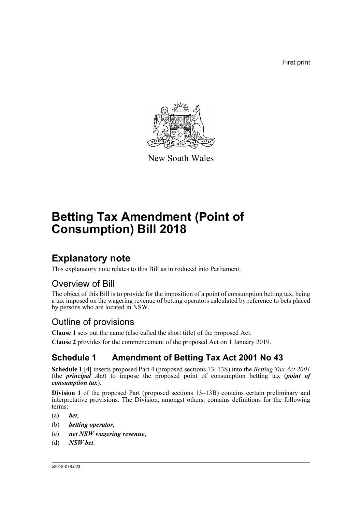First print



New South Wales

# **Betting Tax Amendment (Point of Consumption) Bill 2018**

# **Explanatory note**

This explanatory note relates to this Bill as introduced into Parliament.

## Overview of Bill

The object of this Bill is to provide for the imposition of a point of consumption betting tax, being a tax imposed on the wagering revenue of betting operators calculated by reference to bets placed by persons who are located in NSW.

## Outline of provisions

**Clause 1** sets out the name (also called the short title) of the proposed Act.

**Clause 2** provides for the commencement of the proposed Act on 1 January 2019.

## **Schedule 1 Amendment of Betting Tax Act 2001 No 43**

**Schedule 1 [4]** inserts proposed Part 4 (proposed sections 13–13S) into the *Betting Tax Act 2001* (the *principal Act*) to impose the proposed point of consumption betting tax (*point of consumption tax*).

**Division 1** of the proposed Part (proposed sections 13–13B) contains certain preliminary and interpretative provisions. The Division, amongst others, contains definitions for the following terms:

- (a) *bet*,
- (b) *betting operator*,
- (c) *net NSW wagering revenue*,
- (d) *NSW bet*.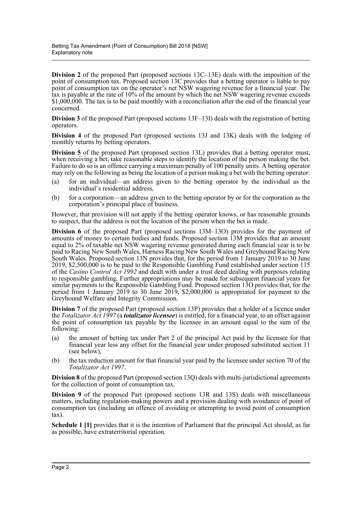**Division 2** of the proposed Part (proposed sections 13C–13E) deals with the imposition of the point of consumption tax. Proposed section 13C provides that a betting operator is liable to pay point of consumption tax on the operator's net NSW wagering revenue for a financial year. The tax is payable at the rate of 10% of the amount by which the net NSW wagering revenue exceeds \$1,000,000. The tax is to be paid monthly with a reconciliation after the end of the financial year concerned.

**Division 3** of the proposed Part (proposed sections 13F–13I) deals with the registration of betting operators.

**Division 4** of the proposed Part (proposed sections 13J and 13K) deals with the lodging of monthly returns by betting operators.

**Division 5** of the proposed Part (proposed section 13L) provides that a betting operator must, when receiving a bet, take reasonable steps to identify the location of the person making the bet. Failure to do so is an offence carrying a maximum penalty of 100 penalty units. A betting operator may rely on the following as being the location of a person making a bet with the betting operator:

- (a) for an individual—an address given to the betting operator by the individual as the individual's residential address,
- (b) for a corporation—an address given to the betting operator by or for the corporation as the corporation's principal place of business.

However, that provision will not apply if the betting operator knows, or has reasonable grounds to suspect, that the address is not the location of the person when the bet is made.

**Division 6** of the proposed Part (proposed sections 13M–13O) provides for the payment of amounts of money to certain bodies and funds. Proposed section 13M provides that an amount equal to 2% of taxable net NSW wagering revenue generated during each financial year is to be paid to Racing New South Wales, Harness Racing New South Wales and Greyhound Racing New South Wales. Proposed section 13N provides that, for the period from 1 January 2019 to 30 June 2019, \$2,500,000 is to be paid to the Responsible Gambling Fund established under section 115 of the *Casino Control Act 1992* and dealt with under a trust deed dealing with purposes relating to responsible gambling. Further appropriations may be made for subsequent financial years for similar payments to the Responsible Gambling Fund. Proposed section 13O provides that, for the period from 1 January 2019 to 30 June 2019, \$2,000,000 is appropriated for payment to the Greyhound Welfare and Integrity Commission.

**Division 7** of the proposed Part (proposed section 13P) provides that a holder of a licence under the *Totalizator Act 1997* (a *totalizator licensee*) is entitled, for a financial year, to an offset against the point of consumption tax payable by the licensee in an amount equal to the sum of the following:

- (a) the amount of betting tax under Part 2 of the principal Act paid by the licensee for that financial year less any offset for the financial year under proposed substituted section 11 (see below),
- (b) the tax reduction amount for that financial year paid by the licensee under section 70 of the *Totalizator Act 1997*.

**Division 8** of the proposed Part (proposed section 13Q) deals with multi-jurisdictional agreements for the collection of point of consumption tax.

**Division 9** of the proposed Part (proposed sections 13R and 13S) deals with miscellaneous matters, including regulation-making powers and a provision dealing with avoidance of point of consumption tax (including an offence of avoiding or attempting to avoid point of consumption tax).

**Schedule 1 [1]** provides that it is the intention of Parliament that the principal Act should, as far as possible, have extraterritorial operation.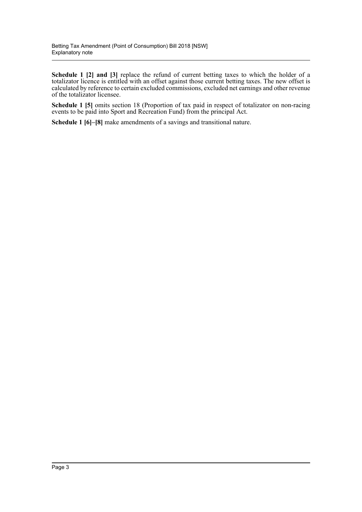**Schedule 1 [2] and [3]** replace the refund of current betting taxes to which the holder of a totalizator licence is entitled with an offset against those current betting taxes. The new offset is calculated by reference to certain excluded commissions, excluded net earnings and other revenue of the totalizator licensee.

**Schedule 1 [5]** omits section 18 (Proportion of tax paid in respect of totalizator on non-racing events to be paid into Sport and Recreation Fund) from the principal Act.

**Schedule 1 [6]–[8]** make amendments of a savings and transitional nature.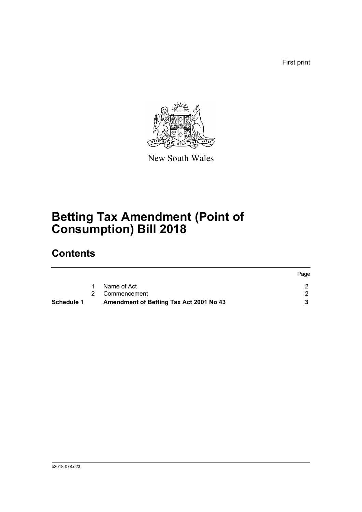First print



New South Wales

# **Betting Tax Amendment (Point of Consumption) Bill 2018**

# **Contents**

| Schedule 1 | Amendment of Betting Tax Act 2001 No 43 |      |
|------------|-----------------------------------------|------|
|            | 2 Commencement                          |      |
|            | Name of Act                             |      |
|            |                                         | Page |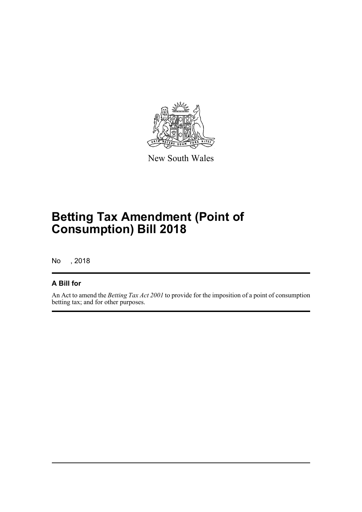

New South Wales

# **Betting Tax Amendment (Point of Consumption) Bill 2018**

No , 2018

### **A Bill for**

An Act to amend the *Betting Tax Act 2001* to provide for the imposition of a point of consumption betting tax; and for other purposes.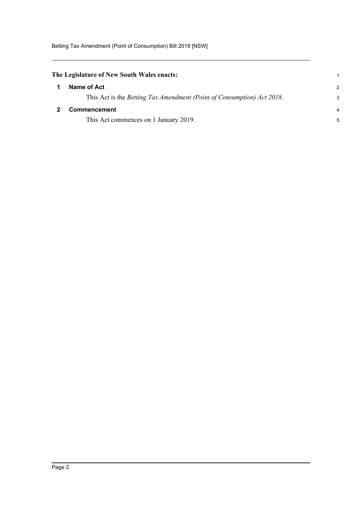<span id="page-5-1"></span><span id="page-5-0"></span>

| The Legislature of New South Wales enacts: |                                                                        |   |  |
|--------------------------------------------|------------------------------------------------------------------------|---|--|
|                                            | Name of Act                                                            | 2 |  |
|                                            | This Act is the Betting Tax Amendment (Point of Consumption) Act 2018. | З |  |
|                                            | Commencement                                                           |   |  |
|                                            | This Act commences on 1 January 2019.                                  |   |  |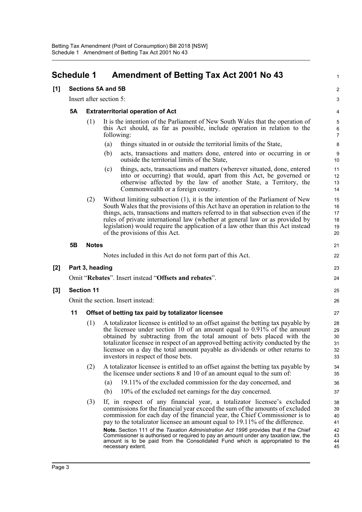#### **[1] Sections 5A and 5B** 2 Insert after section 5: 3 **5A Extraterritorial operation of Act** 4 (1) It is the intention of the Parliament of New South Wales that the operation of 5 this Act should, as far as possible, include operation in relation to the 6 following: 7 (a) things situated in or outside the territorial limits of the State, 8 (b) acts, transactions and matters done, entered into or occurring in or 9 outside the territorial limits of the State, 10 (c) things, acts, transactions and matters (wherever situated, done, entered 11 into or occurring) that would, apart from this Act, be governed or 12 otherwise affected by the law of another State, a Territory, the 13 Commonwealth or a foreign country. 14 (2) Without limiting subsection (1), it is the intention of the Parliament of New 15 South Wales that the provisions of this Act have an operation in relation to the 16 things, acts, transactions and matters referred to in that subsection even if the 17 rules of private international law (whether at general law or as provided by 18 legislation) would require the application of a law other than this Act instead 19 of the provisions of this Act. 20 **5B Notes** 21 Notes included in this Act do not form part of this Act. 22 **[2] Part 3, heading** 23 Omit "**Rebates**". Insert instead "**Offsets and rebates**". 24 **[3] Section 11** 25

<span id="page-6-0"></span>**Schedule 1 Amendment of Betting Tax Act 2001 No 43** <sup>1</sup>

Omit the section. Insert instead: 26

#### **11 Offset of betting tax paid by totalizator licensee** 27

- (1) A totalizator licensee is entitled to an offset against the betting tax payable by 28 the licensee under section 10 of an amount equal to  $0.91\%$  of the amount 29 obtained by subtracting from the total amount of bets placed with the 30 totalizator licensee in respect of an approved betting activity conducted by the 31 licensee on a day the total amount payable as dividends or other returns to 32 investors in respect of those bets. 33
- (2) A totalizator licensee is entitled to an offset against the betting tax payable by 34 the licensee under sections 8 and 10 of an amount equal to the sum of: 35
	- (a) 19.11% of the excluded commission for the day concerned, and 36
	- (b) 10% of the excluded net earnings for the day concerned. 37
- (3) If, in respect of any financial year, a totalizator licensee's excluded 38 commissions for the financial year exceed the sum of the amounts of excluded 39 commission for each day of the financial year, the Chief Commissioner is to 40 pay to the totalizator licensee an amount equal to 19.11% of the difference. 41 **Note.** Section 111 of the *Taxation Administration Act 1996* provides that if the Chief 42<br>Commissioner is authorised or required to pay an amount under any taxation law, the 43 Commissioner is authorised or required to pay an amount under any taxation law, the amount is to be paid from the Consolidated Fund which is appropriated to the 44 necessary extent. 45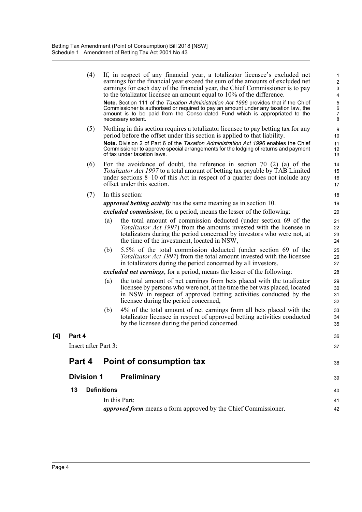|     | (4)                  |                    | If, in respect of any financial year, a totalizator licensee's excluded net<br>earnings for the financial year exceed the sum of the amounts of excluded net<br>earnings for each day of the financial year, the Chief Commissioner is to pay<br>to the totalizator licensee an amount equal to 10% of the difference. | 1<br>$\tilde{z}$<br>Ĉ<br>4 |
|-----|----------------------|--------------------|------------------------------------------------------------------------------------------------------------------------------------------------------------------------------------------------------------------------------------------------------------------------------------------------------------------------|----------------------------|
|     |                      |                    | Note. Section 111 of the Taxation Administration Act 1996 provides that if the Chief<br>Commissioner is authorised or required to pay an amount under any taxation law, the<br>amount is to be paid from the Consolidated Fund which is appropriated to the<br>necessary extent.                                       | $rac{5}{7}$<br>ε           |
|     | (5)                  |                    | Nothing in this section requires a totalizator licensee to pay betting tax for any<br>period before the offset under this section is applied to that liability.                                                                                                                                                        | ς<br>10                    |
|     |                      |                    | Note. Division 2 of Part 6 of the Taxation Administration Act 1996 enables the Chief<br>Commissioner to approve special arrangements for the lodging of returns and payment<br>of tax under taxation laws.                                                                                                             | 11<br>12<br>13             |
|     | (6)                  |                    | For the avoidance of doubt, the reference in section 70 $(2)$ $(a)$ of the<br>Totalizator Act 1997 to a total amount of betting tax payable by TAB Limited<br>under sections 8–10 of this Act in respect of a quarter does not include any<br>offset under this section.                                               | 14<br>15<br>16<br>17       |
|     | (7)                  |                    | In this section:                                                                                                                                                                                                                                                                                                       | 18                         |
|     |                      |                    | <i>approved betting activity</i> has the same meaning as in section 10.                                                                                                                                                                                                                                                | 19                         |
|     |                      |                    | excluded commission, for a period, means the lesser of the following:                                                                                                                                                                                                                                                  | 20                         |
|     |                      | (a)                | the total amount of commission deducted (under section 69 of the<br>Totalizator Act 1997) from the amounts invested with the licensee in<br>totalizators during the period concerned by investors who were not, at<br>the time of the investment, located in NSW,                                                      | 21<br>22<br>23<br>24       |
|     |                      | (b)                | 5.5% of the total commission deducted (under section 69 of the<br>Totalizator Act 1997) from the total amount invested with the licensee<br>in totalizators during the period concerned by all investors.                                                                                                              | 25<br>26<br>27             |
|     |                      |                    | <i>excluded net earnings</i> , for a period, means the lesser of the following:                                                                                                                                                                                                                                        | 28                         |
|     |                      | (a)                | the total amount of net earnings from bets placed with the totalizator<br>licensee by persons who were not, at the time the bet was placed, located<br>in NSW in respect of approved betting activities conducted by the<br>licensee during the period concerned,                                                      | 29<br>30<br>31<br>32       |
|     |                      | (b)                | 4% of the total amount of net earnings from all bets placed with the<br>totalizator licensee in respect of approved betting activities conducted<br>by the licensee during the period concerned.                                                                                                                       | 33<br>34<br>35             |
| [4] | Part 4               |                    |                                                                                                                                                                                                                                                                                                                        | 36                         |
|     | Insert after Part 3: |                    |                                                                                                                                                                                                                                                                                                                        | 37                         |
|     | Part 4               |                    | Point of consumption tax                                                                                                                                                                                                                                                                                               | 38                         |
|     | <b>Division 1</b>    |                    | Preliminary                                                                                                                                                                                                                                                                                                            | З٤                         |
|     | 13                   | <b>Definitions</b> |                                                                                                                                                                                                                                                                                                                        | 40                         |
|     |                      |                    | In this Part:                                                                                                                                                                                                                                                                                                          | 41                         |
|     |                      |                    | <i>approved form</i> means a form approved by the Chief Commissioner.                                                                                                                                                                                                                                                  | 42                         |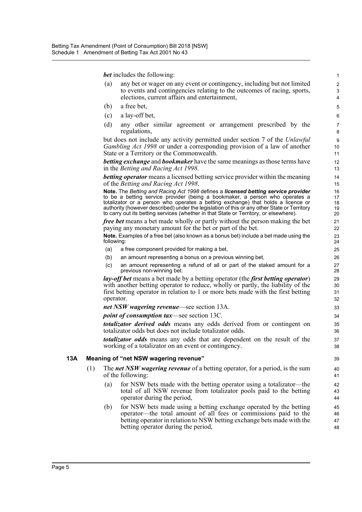*bet* includes the following: 1

- (a) any bet or wager on any event or contingency, including but not limited 2 to events and contingencies relating to the outcomes of racing, sports,  $\frac{3}{2}$ elections, current affairs and entertainment, 4
- $(b)$  a free bet,  $5$
- (c) a lay-off bet, 6
- (d) any other similar agreement or arrangement prescribed by the 7 regulations,  $\frac{8}{3}$

but does not include any activity permitted under section 7 of the *Unlawful* 9 *Gambling Act 1998* or under a corresponding provision of a law of another 10 State or a Territory or the Commonwealth. 11

*betting exchange* and *bookmaker* have the same meanings as those terms have 12 in the *Betting and Racing Act 1998*.

*betting operator* means a licensed betting service provider within the meaning 14 of the *Betting and Racing Act 1998*. 15

**Note.** The *Betting and Racing Act 1998* defines a *licensed betting service provider* 16 to be a betting service provider (being a bookmaker, a person who operates a 17<br>totalizator or a person who operates a betting exchange) that holds a licence or 18 totalizator or a person who operates a betting exchange) that holds a licence or authority (however described) under the legislation of this or any other State or Territory 19<br>to carry out its betting services (whether in that State or Territory, or elsewhere). to carry out its betting services (whether in that State or Territory, or elsewhere).

*free bet* means a bet made wholly or partly without the person making the bet 21 paying any monetary amount for the bet or part of the bet. 22

**Note.** Examples of a free bet (also known as a bonus bet) include a bet made using the 23 following: 24

- (a) a free component provided for making a bet, 25
- (b) an amount representing a bonus on a previous winning bet, 26
- (c) an amount representing a refund of all or part of the staked amount for a 27 previous non-winning bet. 28

*lay-off bet* means a bet made by a betting operator (the *first betting operator*) 29 with another betting operator to reduce, wholly or partly, the liability of the 30 first betting operator in relation to 1 or more bets made with the first betting 31 operator. 32

*net NSW wagering revenue*—see section 13A. 33

*point of consumption tax*—see section 13C. 34

*totalizator derived odds* means any odds derived from or contingent on 35 totalizator odds but does not include totalizator odds. 36

*totalizator odds* means any odds that are dependent on the result of the 37 working of a totalizator on an event or contingency. 38

#### **13A Meaning of "net NSW wagering revenue"** 39

- (1) The *net NSW wagering revenue* of a betting operator, for a period, is the sum 40 of the following: 41
	- (a) for NSW bets made with the betting operator using a totalizator—the 42 total of all NSW revenue from totalizator pools paid to the betting 43 operator during the period,  $\frac{44}{4}$
	- (b) for NSW bets made using a betting exchange operated by the betting 45 operator—the total amount of all fees or commissions paid to the 46 betting operator in relation to NSW betting exchange bets made with the 47 betting operator during the period,  $\frac{48}{48}$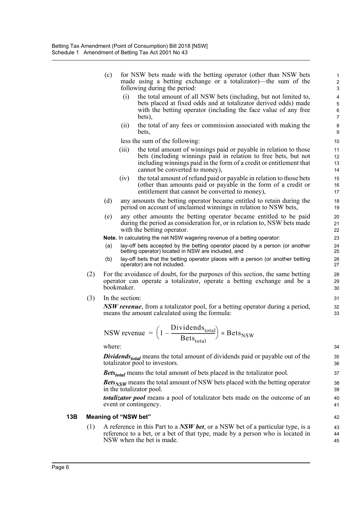- (c) for NSW bets made with the betting operator (other than NSW bets 1 made using a betting exchange or a totalizator)—the sum of the 2 following during the period: 3
	- (i) the total amount of all NSW bets (including, but not limited to, 4 bets placed at fixed odds and at totalizator derived odds) made 5 with the betting operator (including the face value of any free 6 bets),  $7<sup>7</sup>$
	- (ii) the total of any fees or commission associated with making the 8 bets, 9

less the sum of the following: 10

- (iii) the total amount of winnings paid or payable in relation to those 11 bets (including winnings paid in relation to free bets, but not 12 including winnings paid in the form of a credit or entitlement that 13 cannot be converted to money), 14
- (iv) the total amount of refund paid or payable in relation to those bets 15 (other than amounts paid or payable in the form of a credit or 16 entitlement that cannot be converted to money), 17
- (d) any amounts the betting operator became entitled to retain during the 18 period on account of unclaimed winnings in relation to NSW bets, 19
- (e) any other amounts the betting operator became entitled to be paid 20 during the period as consideration for, or in relation to, NSW bets made 21 with the betting operator. 22

**Note.** In calculating the net NSW wagering revenue of a betting operator: 23

- (a) lay-off bets accepted by the betting operator placed by a person (or another 24 betting operator) located in NSW are included, and
- (b) lay-off bets that the betting operator places with a person (or another betting 26 operator) are not included. 27
- (2) For the avoidance of doubt, for the purposes of this section, the same betting 28 operator can operate a totalizator, operate a betting exchange and be a 29 bookmaker. 30
- (3) In the section: 31

*NSW revenue*, from a totalizator pool, for a betting operator during a period,  $\frac{32}{2}$ means the amount calculated using the formula: 33

$$
NSW \text{ revenue } = \left(1 - \frac{\text{Dividends}_{\text{total}}}{\text{Bets}_{\text{total}}}\right) \times \text{Bets}_{\text{NSW}}
$$

where: 34

*Dividends<sub>total</sub>* means the total amount of dividends paid or payable out of the 35<br>totalizator pool to investors. totalizator pool to investors.

*Bets<sub>total</sub>* means the total amount of bets placed in the totalizator pool. 37

*Bets<sub>NSW</sub>* means the total amount of NSW bets placed with the betting operator  $\frac{38}{39}$ in the totalizator pool.

*totalizator pool* means a pool of totalizator bets made on the outcome of an 40 event or contingency. 41

#### **13B Meaning of "NSW bet"** 42

(1) A reference in this Part to a *NSW bet*, or a NSW bet of a particular type, is a 43 reference to a bet, or a bet of that type, made by a person who is located in 44 NSW when the bet is made. 45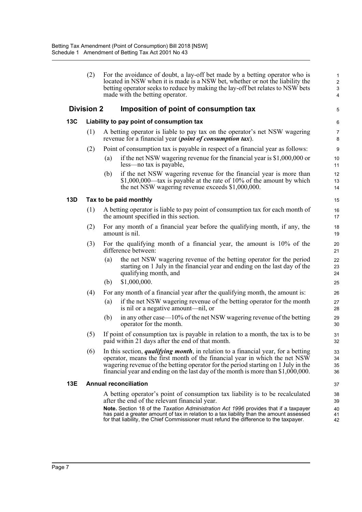|     | (2)                                       | For the avoidance of doubt, a lay-off bet made by a betting operator who is<br>located in NSW when it is made is a NSW bet, whether or not the liability the<br>betting operator seeks to reduce by making the lay-off bet relates to NSW bets<br>made with the betting operator.                                                                | $\mathbf{1}$<br>$\overline{\mathbf{c}}$<br>3<br>$\overline{\mathbf{4}}$ |  |  |  |
|-----|-------------------------------------------|--------------------------------------------------------------------------------------------------------------------------------------------------------------------------------------------------------------------------------------------------------------------------------------------------------------------------------------------------|-------------------------------------------------------------------------|--|--|--|
|     | <b>Division 2</b>                         | Imposition of point of consumption tax                                                                                                                                                                                                                                                                                                           | 5                                                                       |  |  |  |
| 13C | Liability to pay point of consumption tax |                                                                                                                                                                                                                                                                                                                                                  |                                                                         |  |  |  |
|     | (1)                                       | A betting operator is liable to pay tax on the operator's net NSW wagering<br>revenue for a financial year ( <i>point of consumption tax</i> ).                                                                                                                                                                                                  | 7<br>8                                                                  |  |  |  |
|     | (2)                                       | Point of consumption tax is payable in respect of a financial year as follows:                                                                                                                                                                                                                                                                   | $\boldsymbol{9}$                                                        |  |  |  |
|     |                                           | if the net NSW wagering revenue for the financial year is $$1,000,000$ or<br>(a)<br>less—no tax is payable,                                                                                                                                                                                                                                      | 10<br>11                                                                |  |  |  |
|     |                                           | if the net NSW wagering revenue for the financial year is more than<br>(b)<br>$$1,000,000$ —tax is payable at the rate of 10% of the amount by which<br>the net NSW wagering revenue exceeds \$1,000,000.                                                                                                                                        | 12<br>13<br>14                                                          |  |  |  |
| 13D |                                           | Tax to be paid monthly                                                                                                                                                                                                                                                                                                                           | 15                                                                      |  |  |  |
|     | (1)                                       | A betting operator is liable to pay point of consumption tax for each month of<br>the amount specified in this section.                                                                                                                                                                                                                          | 16<br>17                                                                |  |  |  |
|     | (2)                                       | For any month of a financial year before the qualifying month, if any, the<br>amount is nil.                                                                                                                                                                                                                                                     | 18<br>19                                                                |  |  |  |
|     | (3)                                       | For the qualifying month of a financial year, the amount is 10% of the<br>difference between:                                                                                                                                                                                                                                                    | 20<br>21                                                                |  |  |  |
|     |                                           | the net NSW wagering revenue of the betting operator for the period<br>(a)<br>starting on 1 July in the financial year and ending on the last day of the<br>qualifying month, and                                                                                                                                                                | 22<br>23<br>24                                                          |  |  |  |
|     |                                           | \$1,000,000.<br>(b)                                                                                                                                                                                                                                                                                                                              | 25                                                                      |  |  |  |
|     | (4)                                       | For any month of a financial year after the qualifying month, the amount is:                                                                                                                                                                                                                                                                     | 26                                                                      |  |  |  |
|     |                                           | if the net NSW wagering revenue of the betting operator for the month<br>(a)<br>is nil or a negative amount—nil, or                                                                                                                                                                                                                              | 27<br>28                                                                |  |  |  |
|     |                                           | in any other case— $10\%$ of the net NSW wagering revenue of the betting<br>(b)<br>operator for the month.                                                                                                                                                                                                                                       | 29<br>30                                                                |  |  |  |
|     | (5)                                       | If point of consumption tax is payable in relation to a month, the tax is to be<br>paid within 21 days after the end of that month.                                                                                                                                                                                                              | 31<br>32                                                                |  |  |  |
|     | (6)                                       | In this section, <i>qualifying month</i> , in relation to a financial year, for a betting<br>operator, means the first month of the financial year in which the net NSW<br>wagering revenue of the betting operator for the period starting on 1 July in the<br>financial year and ending on the last day of the month is more than \$1,000,000. | 33<br>34<br>35<br>36                                                    |  |  |  |
| 13E |                                           | <b>Annual reconciliation</b>                                                                                                                                                                                                                                                                                                                     | 37                                                                      |  |  |  |
|     |                                           | A betting operator's point of consumption tax liability is to be recalculated<br>after the end of the relevant financial year.                                                                                                                                                                                                                   | 38<br>39                                                                |  |  |  |
|     |                                           | Note. Section 18 of the Taxation Administration Act 1996 provides that if a taxpayer<br>has paid a greater amount of tax in relation to a tax liability than the amount assessed<br>for that liability, the Chief Commissioner must refund the difference to the taxpayer.                                                                       | 40<br>41<br>42                                                          |  |  |  |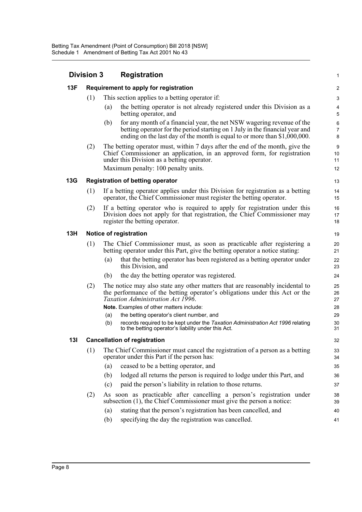| <b>Division 3</b> |                                                                                                                                                                                                          |                                                                                                                                                          | <b>Registration</b>                                                                                                                                                                                                                            |                |  |  |
|-------------------|----------------------------------------------------------------------------------------------------------------------------------------------------------------------------------------------------------|----------------------------------------------------------------------------------------------------------------------------------------------------------|------------------------------------------------------------------------------------------------------------------------------------------------------------------------------------------------------------------------------------------------|----------------|--|--|
| 13F               |                                                                                                                                                                                                          |                                                                                                                                                          | Requirement to apply for registration                                                                                                                                                                                                          |                |  |  |
|                   | (1)                                                                                                                                                                                                      |                                                                                                                                                          | This section applies to a betting operator if:                                                                                                                                                                                                 |                |  |  |
|                   |                                                                                                                                                                                                          | (a)                                                                                                                                                      | the betting operator is not already registered under this Division as a<br>betting operator, and                                                                                                                                               | ć              |  |  |
|                   |                                                                                                                                                                                                          | (b)                                                                                                                                                      | for any month of a financial year, the net NSW wagering revenue of the<br>betting operator for the period starting on 1 July in the financial year and<br>ending on the last day of the month is equal to or more than $$1,000,000$ .          | б<br>ε         |  |  |
|                   | (2)                                                                                                                                                                                                      |                                                                                                                                                          | The betting operator must, within 7 days after the end of the month, give the<br>Chief Commissioner an application, in an approved form, for registration<br>under this Division as a betting operator.<br>Maximum penalty: 100 penalty units. |                |  |  |
| <b>13G</b>        |                                                                                                                                                                                                          |                                                                                                                                                          | <b>Registration of betting operator</b>                                                                                                                                                                                                        | 13             |  |  |
|                   | (1)                                                                                                                                                                                                      |                                                                                                                                                          | If a betting operator applies under this Division for registration as a betting<br>operator, the Chief Commissioner must register the betting operator.                                                                                        | 14<br>15       |  |  |
|                   | (2)                                                                                                                                                                                                      |                                                                                                                                                          | If a betting operator who is required to apply for registration under this<br>Division does not apply for that registration, the Chief Commissioner may<br>register the betting operator.                                                      | 16<br>17<br>18 |  |  |
| 13H               |                                                                                                                                                                                                          |                                                                                                                                                          | Notice of registration                                                                                                                                                                                                                         | 19             |  |  |
|                   | (1)                                                                                                                                                                                                      | The Chief Commissioner must, as soon as practicable after registering a<br>betting operator under this Part, give the betting operator a notice stating: |                                                                                                                                                                                                                                                |                |  |  |
|                   |                                                                                                                                                                                                          | (a)                                                                                                                                                      | that the betting operator has been registered as a betting operator under<br>this Division, and                                                                                                                                                | 22<br>23       |  |  |
|                   |                                                                                                                                                                                                          | (b)                                                                                                                                                      | the day the betting operator was registered.                                                                                                                                                                                                   | 24             |  |  |
|                   | (2)<br>The notice may also state any other matters that are reasonably incidental to<br>the performance of the betting operator's obligations under this Act or the<br>Taxation Administration Act 1996. |                                                                                                                                                          | 25<br>26<br>27                                                                                                                                                                                                                                 |                |  |  |
|                   |                                                                                                                                                                                                          |                                                                                                                                                          | Note. Examples of other matters include:                                                                                                                                                                                                       | 28             |  |  |
|                   |                                                                                                                                                                                                          | (a)                                                                                                                                                      | the betting operator's client number, and                                                                                                                                                                                                      | 29             |  |  |
|                   |                                                                                                                                                                                                          | (b)                                                                                                                                                      | records required to be kept under the Taxation Administration Act 1996 relating<br>to the betting operator's liability under this Act.                                                                                                         | 30<br>31       |  |  |
| 13I               |                                                                                                                                                                                                          |                                                                                                                                                          | <b>Cancellation of registration</b>                                                                                                                                                                                                            | 32             |  |  |
|                   | (1)                                                                                                                                                                                                      |                                                                                                                                                          | The Chief Commissioner must cancel the registration of a person as a betting<br>operator under this Part if the person has:                                                                                                                    | 33<br>34       |  |  |
|                   |                                                                                                                                                                                                          | (a)                                                                                                                                                      | ceased to be a betting operator, and                                                                                                                                                                                                           | 35             |  |  |
|                   |                                                                                                                                                                                                          | (b)                                                                                                                                                      | lodged all returns the person is required to lodge under this Part, and                                                                                                                                                                        | 36             |  |  |
|                   |                                                                                                                                                                                                          | (c)                                                                                                                                                      | paid the person's liability in relation to those returns.                                                                                                                                                                                      | 37             |  |  |
|                   | (2)                                                                                                                                                                                                      |                                                                                                                                                          | As soon as practicable after cancelling a person's registration under<br>subsection $(1)$ , the Chief Commissioner must give the person a notice:                                                                                              | 38<br>39       |  |  |
|                   |                                                                                                                                                                                                          | (a)                                                                                                                                                      | stating that the person's registration has been cancelled, and                                                                                                                                                                                 | 40             |  |  |
|                   | specifying the day the registration was cancelled.<br>(b)                                                                                                                                                |                                                                                                                                                          |                                                                                                                                                                                                                                                |                |  |  |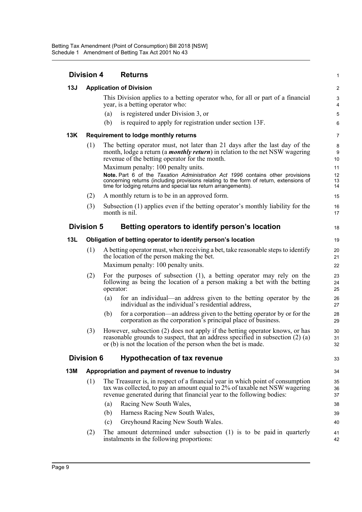| <b>Division 4</b> |                                | <b>Returns</b>                                                                                                                                                                                                                             | 1                          |  |  |
|-------------------|--------------------------------|--------------------------------------------------------------------------------------------------------------------------------------------------------------------------------------------------------------------------------------------|----------------------------|--|--|
| 13J               | <b>Application of Division</b> |                                                                                                                                                                                                                                            |                            |  |  |
|                   |                                | This Division applies to a betting operator who, for all or part of a financial<br>year, is a betting operator who:                                                                                                                        | З<br>4                     |  |  |
|                   |                                | is registered under Division 3, or<br>(a)                                                                                                                                                                                                  | ć                          |  |  |
|                   |                                | (b)<br>is required to apply for registration under section 13F.                                                                                                                                                                            | Е                          |  |  |
| 13K               |                                | Requirement to lodge monthly returns                                                                                                                                                                                                       | 7                          |  |  |
|                   | (1)                            | The betting operator must, not later than 21 days after the last day of the<br>month, lodge a return (a <i>monthly return</i> ) in relation to the net NSW wagering<br>revenue of the betting operator for the month.                      | ε<br>ς<br>10               |  |  |
|                   |                                | Maximum penalty: 100 penalty units.                                                                                                                                                                                                        | 11                         |  |  |
|                   |                                | Note. Part 6 of the Taxation Administration Act 1996 contains other provisions<br>concerning returns (including provisions relating to the form of return, extensions of<br>time for lodging returns and special tax return arrangements). | 12<br>13<br>14             |  |  |
|                   | (2)                            | A monthly return is to be in an approved form.                                                                                                                                                                                             | 15                         |  |  |
|                   | (3)                            | Subsection (1) applies even if the betting operator's monthly liability for the<br>month is nil.                                                                                                                                           | 16<br>17                   |  |  |
|                   | <b>Division 5</b>              | Betting operators to identify person's location                                                                                                                                                                                            | 18                         |  |  |
| 13L               |                                | Obligation of betting operator to identify person's location                                                                                                                                                                               | 19                         |  |  |
|                   | (1)                            | A betting operator must, when receiving a bet, take reasonable steps to identify<br>the location of the person making the bet.                                                                                                             | 20<br>21                   |  |  |
|                   |                                | Maximum penalty: 100 penalty units.                                                                                                                                                                                                        | 22                         |  |  |
|                   | (2)                            | For the purposes of subsection $(1)$ , a betting operator may rely on the<br>following as being the location of a person making a bet with the betting<br>operator:                                                                        | 23<br>24<br>25             |  |  |
|                   |                                | for an individual—an address given to the betting operator by the<br>(a)<br>individual as the individual's residential address,                                                                                                            | 26<br>27                   |  |  |
|                   |                                | for a corporation—an address given to the betting operator by or for the<br>(b)<br>corporation as the corporation's principal place of business.                                                                                           | 28<br>29                   |  |  |
|                   | (3)                            | However, subsection (2) does not apply if the betting operator knows, or has<br>reasonable grounds to suspect, that an address specified in subsection $(2)$ (a)<br>or (b) is not the location of the person when the bet is made.         | 3 <sub>C</sub><br>31<br>32 |  |  |
|                   | <b>Division 6</b>              | <b>Hypothecation of tax revenue</b>                                                                                                                                                                                                        | 33                         |  |  |
| 13M               |                                | Appropriation and payment of revenue to industry                                                                                                                                                                                           | 34                         |  |  |
|                   | (1)                            | The Treasurer is, in respect of a financial year in which point of consumption<br>tax was collected, to pay an amount equal to 2% of taxable net NSW wagering<br>revenue generated during that financial year to the following bodies:     | 35<br>36<br>37             |  |  |
|                   |                                | Racing New South Wales,<br>(a)                                                                                                                                                                                                             | 38                         |  |  |
|                   |                                | Harness Racing New South Wales,<br>(b)                                                                                                                                                                                                     | 39                         |  |  |
|                   |                                | Greyhound Racing New South Wales.<br>(c)                                                                                                                                                                                                   | 40                         |  |  |
|                   | (2)                            | The amount determined under subsection (1) is to be paid in quarterly<br>instalments in the following proportions:                                                                                                                         | 41<br>42                   |  |  |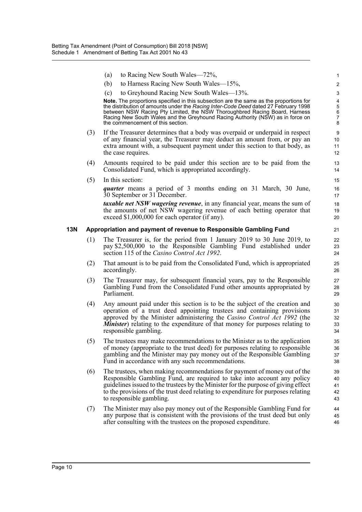|     |     | to Racing New South Wales—72%,<br>(a)                                                                                                                                                         |                |
|-----|-----|-----------------------------------------------------------------------------------------------------------------------------------------------------------------------------------------------|----------------|
|     |     | (b)<br>to Harness Racing New South Wales—15%,                                                                                                                                                 | 2              |
|     |     | to Greyhound Racing New South Wales—13%.<br>(c)                                                                                                                                               | 3              |
|     |     | Note. The proportions specified in this subsection are the same as the proportions for<br>the distribution of amounts under the Racing Inter-Code Deed dated 27 February 1998                 |                |
|     |     | between NSW Racing Pty Limited, the NSW Thoroughbred Racing Board, Harness                                                                                                                    | $\frac{5}{6}$  |
|     |     | Racing New South Wales and the Greyhound Racing Authority (NSW) as in force on<br>the commencement of this section.                                                                           | 7<br>8         |
|     | (3) | If the Treasurer determines that a body was overpaid or underpaid in respect<br>of any financial year, the Treasurer may deduct an amount from, or pay an                                     | g              |
|     |     | extra amount with, a subsequent payment under this section to that body, as                                                                                                                   | 10<br>11       |
|     |     | the case requires.                                                                                                                                                                            | 12             |
|     | (4) | Amounts required to be paid under this section are to be paid from the<br>Consolidated Fund, which is appropriated accordingly.                                                               | 13<br>14       |
|     | (5) | In this section:                                                                                                                                                                              | 15             |
|     |     | <i>quarter</i> means a period of 3 months ending on 31 March, 30 June,<br>30 September or 31 December.                                                                                        | 16<br>17       |
|     |     | <i>taxable net NSW wagering revenue</i> , in any financial year, means the sum of                                                                                                             | 18             |
|     |     | the amounts of net NSW wagering revenue of each betting operator that<br>exceed \$1,000,000 for each operator (if any).                                                                       | 19<br>20       |
| 13N |     | Appropriation and payment of revenue to Responsible Gambling Fund                                                                                                                             | 21             |
|     | (1) | The Treasurer is, for the period from 1 January 2019 to 30 June 2019, to<br>pay \$2,500,000 to the Responsible Gambling Fund established under<br>section 115 of the Casino Control Act 1992. | 22<br>23<br>24 |
|     | (2) | That amount is to be paid from the Consolidated Fund, which is appropriated<br>accordingly.                                                                                                   | 25<br>26       |
|     | (3) | The Treasurer may, for subsequent financial years, pay to the Responsible<br>Gambling Fund from the Consolidated Fund other amounts appropriated by<br>Parliament.                            | 27<br>28<br>29 |
|     | (4) | Any amount paid under this section is to be the subject of the creation and                                                                                                                   | 30             |
|     |     | operation of a trust deed appointing trustees and containing provisions                                                                                                                       | 31             |
|     |     | approved by the Minister administering the Casino Control Act 1992 (the<br><b>Minister</b> ) relating to the expenditure of that money for purposes relating to                               | 32<br>33       |
|     |     | responsible gambling.                                                                                                                                                                         | 34             |
|     | (5) | The trustees may make recommendations to the Minister as to the application                                                                                                                   | 35             |
|     |     | of money (appropriate to the trust deed) for purposes relating to responsible                                                                                                                 | 36             |
|     |     | gambling and the Minister may pay money out of the Responsible Gambling<br>Fund in accordance with any such recommendations.                                                                  | 37<br>38       |
|     | (6) | The trustees, when making recommendations for payment of money out of the                                                                                                                     | 39             |
|     |     | Responsible Gambling Fund, are required to take into account any policy                                                                                                                       | 40             |
|     |     | guidelines issued to the trustees by the Minister for the purpose of giving effect                                                                                                            | 41             |
|     |     | to the provisions of the trust deed relating to expenditure for purposes relating<br>to responsible gambling.                                                                                 | 42<br>43       |
|     | (7) | The Minister may also pay money out of the Responsible Gambling Fund for<br>any purpose that is consistent with the provisions of the trust deed but only                                     | 44             |
|     |     | after consulting with the trustees on the proposed expenditure.                                                                                                                               | 45<br>46       |
|     |     |                                                                                                                                                                                               |                |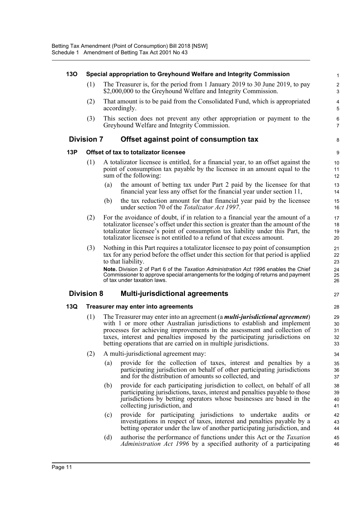#### **13O Special appropriation to Greyhound Welfare and Integrity Commission** 1 (1) The Treasurer is, for the period from 1 January 2019 to 30 June 2019, to pay 2 \$2,000,000 to the Greyhound Welfare and Integrity Commission.  $\frac{3}{2}$ (2) That amount is to be paid from the Consolidated Fund, which is appropriated 4 accordingly. 5 (3) This section does not prevent any other appropriation or payment to the 6 Greyhound Welfare and Integrity Commission. 7 **Division 7 Offset against point of consumption tax** 8 **13P Offset of tax to totalizator licensee** 9 (1) A totalizator licensee is entitled, for a financial year, to an offset against the 10 point of consumption tax payable by the licensee in an amount equal to the 11 sum of the following: 12 (a) the amount of betting tax under Part 2 paid by the licensee for that 13 financial year less any offset for the financial year under section 11, 14 (b) the tax reduction amount for that financial year paid by the licensee 15 under section 70 of the *Totalizator Act 1997*. 16 (2) For the avoidance of doubt, if in relation to a financial year the amount of a 17 totalizator licensee's offset under this section is greater than the amount of the 18 totalizator licensee's point of consumption tax liability under this Part, the 19 totalizator licensee is not entitled to a refund of that excess amount. 20 (3) Nothing in this Part requires a totalizator licensee to pay point of consumption 21 tax for any period before the offset under this section for that period is applied 22 to that liability. 23 **Note.** Division 2 of Part 6 of the *Taxation Administration Act 1996* enables the Chief 24<br>Commissioner to approve special arrangements for the lodging of returns and payment Commissioner to approve special arrangements for the lodging of returns and payment of tax under taxation laws. 26 **Division 8 Multi-jurisdictional agreements** <sup>27</sup> **13Q Treasurer may enter into agreements** 28 (1) The Treasurer may enter into an agreement (a *multi-jurisdictional agreement*) 29 with 1 or more other Australian jurisdictions to establish and implement 30 processes for achieving improvements in the assessment and collection of 31 taxes, interest and penalties imposed by the participating jurisdictions on 32 betting operations that are carried on in multiple jurisdictions. 33 (2) A multi-jurisdictional agreement may: 34 (a) provide for the collection of taxes, interest and penalties by a 35 participating jurisdiction on behalf of other participating jurisdictions 36 and for the distribution of amounts so collected, and 37 (b) provide for each participating jurisdiction to collect, on behalf of all 38 participating jurisdictions, taxes, interest and penalties payable to those 39 jurisdictions by betting operators whose businesses are based in the 40 collecting jurisdiction, and 41 (c) provide for participating jurisdictions to undertake audits or 42 investigations in respect of taxes, interest and penalties payable by a 43 betting operator under the law of another participating jurisdiction, and  $\frac{44}{4}$ (d) authorise the performance of functions under this Act or the *Taxation* 45 *Administration Act 1996* by a specified authority of a participating 46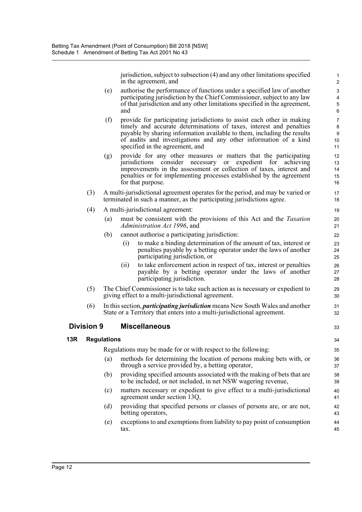jurisdiction, subject to subsection (4) and any other limitations specified 1 in the agreement, and 2

- (e) authorise the performance of functions under a specified law of another 3 participating jurisdiction by the Chief Commissioner, subject to any law 4 of that jurisdiction and any other limitations specified in the agreement, 5 and 6
- (f) provide for participating jurisdictions to assist each other in making 7 timely and accurate determinations of taxes, interest and penalties 8 payable by sharing information available to them, including the results 9 of audits and investigations and any other information of a kind 10 specified in the agreement, and 11
- (g) provide for any other measures or matters that the participating 12 jurisdictions consider necessary or expedient for achieving 13 improvements in the assessment or collection of taxes, interest and 14 penalties or for implementing processes established by the agreement 15 for that purpose. 16
- (3) A multi-jurisdictional agreement operates for the period, and may be varied or 17 terminated in such a manner, as the participating jurisdictions agree. 18
- (4) A multi-jurisdictional agreement: 19
	- (a) must be consistent with the provisions of this Act and the *Taxation* 20 *Administration Act 1996*, and 21
	- (b) cannot authorise a participating jurisdiction: 22
		- (i) to make a binding determination of the amount of tax, interest or 23 penalties payable by a betting operator under the laws of another 24 participating jurisdiction, or 25
		- (ii) to take enforcement action in respect of tax, interest or penalties 26 payable by a betting operator under the laws of another 27 participating jurisdiction. 28
- (5) The Chief Commissioner is to take such action as is necessary or expedient to 29 giving effect to a multi-jurisdictional agreement. 30
- (6) In this section, *participating jurisdiction* means New South Wales and another 31 State or a Territory that enters into a multi-jurisdictional agreement. 32

#### **Division 9 Miscellaneous** 33

#### **13R Regulations** 34

Regulations may be made for or with respect to the following: 35

- (a) methods for determining the location of persons making bets with, or 36 through a service provided by, a betting operator,  $37$
- (b) providing specified amounts associated with the making of bets that are 38 to be included, or not included, in net NSW wagering revenue, 39
- (c) matters necessary or expedient to give effect to a multi-jurisdictional 40 agreement under section 13Q, 41
- (d) providing that specified persons or classes of persons are, or are not, 42 betting operators, 43
- (e) exceptions to and exemptions from liability to pay point of consumption 44  $\frac{1}{2}$  and  $\frac{1}{2}$  and  $\frac{1}{2}$  and  $\frac{1}{2}$  and  $\frac{1}{2}$  and  $\frac{1}{2}$  and  $\frac{1}{2}$  and  $\frac{1}{2}$  and  $\frac{1}{2}$  and  $\frac{1}{2}$  and  $\frac{1}{2}$  and  $\frac{1}{2}$  and  $\frac{1}{2}$  and  $\frac{1}{2}$  and  $\frac{1}{2}$  and  $\frac{1}{2}$  a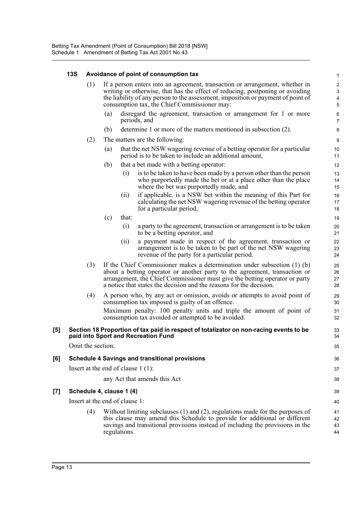|                   | <b>13S</b>        |                                |                                                                                                                                                                                                                                                                                                   |              | Avoidance of point of consumption tax                                                                                                                                                                                                                                                                          |                      |  |
|-------------------|-------------------|--------------------------------|---------------------------------------------------------------------------------------------------------------------------------------------------------------------------------------------------------------------------------------------------------------------------------------------------|--------------|----------------------------------------------------------------------------------------------------------------------------------------------------------------------------------------------------------------------------------------------------------------------------------------------------------------|----------------------|--|
|                   |                   | (1)                            | If a person enters into an agreement, transaction or arrangement, whether in<br>writing or otherwise, that has the effect of reducing, postponing or avoiding<br>the liability of any person to the assessment, imposition or payment of point of<br>consumption tax, the Chief Commissioner may: |              |                                                                                                                                                                                                                                                                                                                |                      |  |
|                   |                   |                                | (a)                                                                                                                                                                                                                                                                                               |              | disregard the agreement, transaction or arrangement for 1 or more<br>periods, and                                                                                                                                                                                                                              | $\epsilon$<br>7      |  |
|                   |                   |                                | (b)                                                                                                                                                                                                                                                                                               |              | determine 1 or more of the matters mentioned in subsection (2).                                                                                                                                                                                                                                                | ε                    |  |
|                   |                   | (2)                            |                                                                                                                                                                                                                                                                                                   |              | The matters are the following:                                                                                                                                                                                                                                                                                 | ς                    |  |
|                   |                   |                                | (a)                                                                                                                                                                                                                                                                                               |              | that the net NSW wagering revenue of a betting operator for a particular<br>period is to be taken to include an additional amount,                                                                                                                                                                             | 10<br>11             |  |
|                   |                   |                                | (b)                                                                                                                                                                                                                                                                                               |              | that a bet made with a betting operator:                                                                                                                                                                                                                                                                       | 12                   |  |
|                   |                   |                                |                                                                                                                                                                                                                                                                                                   | (i)          | is to be taken to have been made by a person other than the person<br>who purportedly made the bet or at a place other than the place<br>where the bet was purportedly made, and                                                                                                                               | 13<br>14<br>15       |  |
|                   |                   |                                |                                                                                                                                                                                                                                                                                                   | (ii)         | if applicable, is a NSW bet within the meaning of this Part for<br>calculating the net NSW wagering revenue of the betting operator<br>for a particular period,                                                                                                                                                | 16<br>17<br>18       |  |
|                   |                   |                                | (c)                                                                                                                                                                                                                                                                                               | that:        |                                                                                                                                                                                                                                                                                                                | 19                   |  |
|                   |                   |                                |                                                                                                                                                                                                                                                                                                   | (i)          | a party to the agreement, transaction or arrangement is to be taken<br>to be a betting operator, and                                                                                                                                                                                                           | 20<br>21             |  |
|                   |                   |                                |                                                                                                                                                                                                                                                                                                   | (ii)         | a payment made in respect of the agreement, transaction or<br>arrangement is to be taken to be part of the net NSW wagering<br>revenue of the party for a particular period.                                                                                                                                   | 22<br>23<br>24       |  |
|                   |                   | (3)                            |                                                                                                                                                                                                                                                                                                   |              | If the Chief Commissioner makes a determination under subsection $(1)$ (b)<br>about a betting operator or another party to the agreement, transaction or<br>arrangement, the Chief Commissioner must give the betting operator or party<br>a notice that states the decision and the reasons for the decision. | 25<br>26<br>27<br>28 |  |
|                   |                   | (4)                            |                                                                                                                                                                                                                                                                                                   |              | A person who, by any act or omission, avoids or attempts to avoid point of<br>consumption tax imposed is guilty of an offence.<br>Maximum penalty: 100 penalty units and triple the amount of point of                                                                                                         | 29<br>30<br>31       |  |
|                   |                   |                                |                                                                                                                                                                                                                                                                                                   |              | consumption tax avoided or attempted to be avoided.                                                                                                                                                                                                                                                            | 32                   |  |
| $\left[ 5\right]$ |                   |                                |                                                                                                                                                                                                                                                                                                   |              | Section 18 Proportion of tax paid in respect of totalizator on non-racing events to be<br>paid into Sport and Recreation Fund                                                                                                                                                                                  | 33<br>34             |  |
|                   | Omit the section. |                                |                                                                                                                                                                                                                                                                                                   |              |                                                                                                                                                                                                                                                                                                                |                      |  |
| [6]               |                   |                                |                                                                                                                                                                                                                                                                                                   |              | <b>Schedule 4 Savings and transitional provisions</b>                                                                                                                                                                                                                                                          | 36                   |  |
|                   |                   |                                |                                                                                                                                                                                                                                                                                                   |              | Insert at the end of clause $1(1)$ :                                                                                                                                                                                                                                                                           | 37                   |  |
|                   |                   |                                |                                                                                                                                                                                                                                                                                                   |              | any Act that amends this Act                                                                                                                                                                                                                                                                                   | 38                   |  |
| [7]               |                   | Schedule 4, clause 1 (4)       |                                                                                                                                                                                                                                                                                                   |              |                                                                                                                                                                                                                                                                                                                | 39                   |  |
|                   |                   | Insert at the end of clause 1: |                                                                                                                                                                                                                                                                                                   |              |                                                                                                                                                                                                                                                                                                                |                      |  |
|                   |                   | (4)                            |                                                                                                                                                                                                                                                                                                   | regulations. | Without limiting subclauses $(1)$ and $(2)$ , regulations made for the purposes of<br>this clause may amend this Schedule to provide for additional or different<br>savings and transitional provisions instead of including the provisions in the                                                             | 41<br>42<br>43<br>44 |  |
|                   |                   |                                |                                                                                                                                                                                                                                                                                                   |              |                                                                                                                                                                                                                                                                                                                |                      |  |